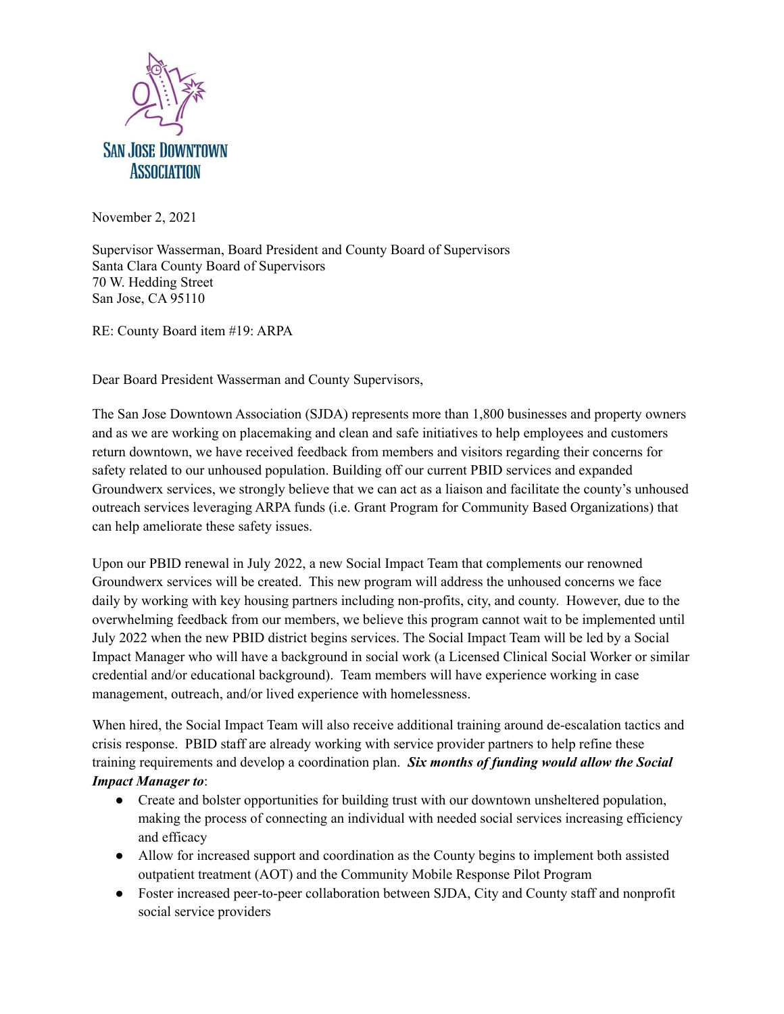

November 2, 2021

Supervisor Wasserman, Board President and County Board of Supervisors Santa Clara County Board of Supervisors 70 W. Hedding Street San Jose, CA 95110

RE: County Board item #19: ARPA

Dear Board President Wasserman and County Supervisors,

The San Jose Downtown Association (SJDA) represents more than 1,800 businesses and property owners and as we are working on placemaking and clean and safe initiatives to help employees and customers return downtown, we have received feedback from members and visitors regarding their concerns for safety related to our unhoused population. Building off our current PBID services and expanded Groundwerx services, we strongly believe that we can act as a liaison and facilitate the county's unhoused outreach services leveraging ARPA funds (i.e. Grant Program for Community Based Organizations) that can help ameliorate these safety issues.

Upon our PBID renewal in July 2022, a new Social Impact Team that complements our renowned Groundwerx services will be created. This new program will address the unhoused concerns we face daily by working with key housing partners including non-profits, city, and county. However, due to the overwhelming feedback from our members, we believe this program cannot wait to be implemented until July 2022 when the new PBID district begins services. The Social Impact Team will be led by a Social Impact Manager who will have a background in social work (a Licensed Clinical Social Worker or similar credential and/or educational background). Team members will have experience working in case management, outreach, and/or lived experience with homelessness.

When hired, the Social Impact Team will also receive additional training around de-escalation tactics and crisis response. PBID staff are already working with service provider partners to help refine these training requirements and develop a coordination plan. *Six months of funding would allow the Social Impact Manager to*:

- Create and bolster opportunities for building trust with our downtown unsheltered population, making the process of connecting an individual with needed social services increasing efficiency and efficacy
- Allow for increased support and coordination as the County begins to implement both assisted outpatient treatment (AOT) and the Community Mobile Response Pilot Program
- Foster increased peer-to-peer collaboration between SJDA, City and County staff and nonprofit social service providers